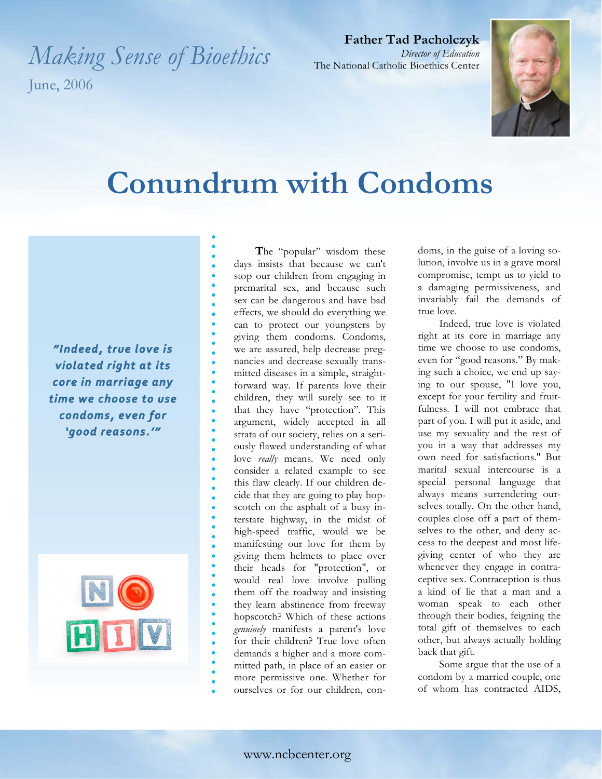*Making Sense of Bioethics*  June, 2006

**Father Tad Pacholczyk** *Director of Education* The National Catholic Bioethics Center



## **Conundrum with Condoms**

 *violated right at its* core in marriage any time we choose to use condoms, even for 'good reasons.'"



**T**he "popular" wisdom these days insists that because we can't stop our children from engaging in premarital sex, and because such sex can be dangerous and have bad effects, we should do everything we can to protect our youngsters by giving them condoms. Condoms, we are assured, help decrease pregnancies and decrease sexually transmitted diseases in a simple, straightforward way. If parents love their children, they will surely see to it that they have "protection". This argument, widely accepted in all strata of our society, relies on a seriously flawed understanding of what love *really* means. We need only consider a related example to see this flaw clearly. If our children decide that they are going to play hopscotch on the asphalt of a busy interstate highway, in the midst of high-speed traffic, would we be manifesting our love for them by giving them helmets to place over their heads for "protection", or would real love involve pulling them off the roadway and insisting they learn abstinence from freeway hopscotch? Which of these actions *genuinely* manifests a parent's love for their children? True love often demands a higher and a more committed path, in place of an easier or more permissive one. Whether for ourselves or for our children, condoms, in the guise of a loving solution, involve us in a grave moral compromise, tempt us to yield to a damaging permissiveness, and invariably fail the demands of true love.

Indeed, true love is violated right at its core in marriage any time we choose to use condoms, even for "good reasons." By making such a choice, we end up saying to our spouse, "I love you, except for your fertility and fruitfulness. I will not embrace that part of you. I will put it aside, and use my sexuality and the rest of you in a way that addresses my own need for satisfactions." But marital sexual intercourse is a special personal language that always means surrendering ourselves totally. On the other hand, couples close off a part of themselves to the other, and deny access to the deepest and most lifegiving center of who they are whenever they engage in contraceptive sex. Contraception is thus a kind of lie that a man and a woman speak to each other through their bodies, feigning the total gift of themselves to each other, but always actually holding back that gift.

Some argue that the use of a condom by a married couple, one of whom has contracted AIDS,